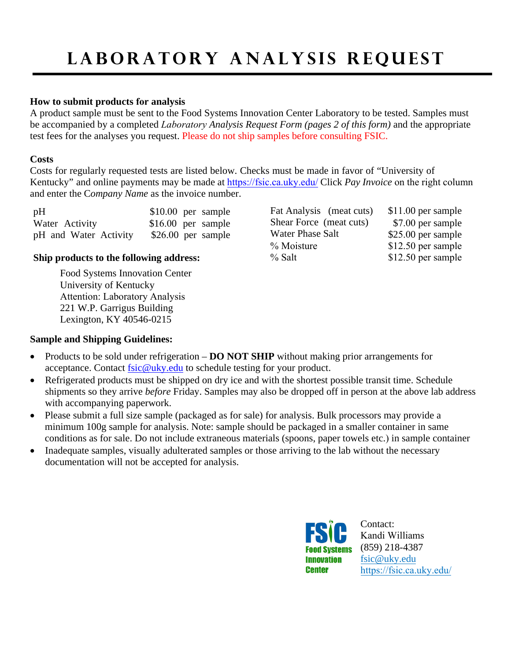# LABORATORY ANALYSIS REQUEST

#### **How to submit products for analysis**

A product sample must be sent to the Food Systems Innovation Center Laboratory to be tested. Samples must be accompanied by a completed *Laboratory Analysis Request Form (pages 2 of this form)* and the appropriate test fees for the analyses you request. Please do not ship samples before consulting FSIC.

#### **Costs**

Costs for regularly requested tests are listed below. Checks must be made in favor of "University of Kentucky" and online payments may be made at [https://fsic.ca.uky.edu/](http://www.ukfsic.blogspot.com/) Click *Pay Invoice* on the right column and enter the C*ompany Name* as the invoice number.

| pH                    | $$10.00$ per sample |  |
|-----------------------|---------------------|--|
| Water Activity        | $$16.00$ per sample |  |
| pH and Water Activity | $$26.00$ per sample |  |

### **Ship products to the following address:**

Food Systems Innovation Center University of Kentucky Attention: Laboratory Analysis 221 W.P. Garrigus Building Lexington, KY 40546-0215

| Fat Analysis (meat cuts) |  |
|--------------------------|--|
| Shear Force (meat cuts)  |  |
| Water Phase Salt         |  |
| % Moisture               |  |
| % Salt                   |  |

\$11.00 per sample \$7.00 per sample  $$25.00$  per sample  $$12.50$  per sample  $$12.50$  per sample

## **Sample and Shipping Guidelines:**

- Products to be sold under refrigeration **DO NOT SHIP** without making prior arrangements for acceptance. Contact [fsic@uky.edu](mailto:fsic@uky.edu) to schedule testing for your product.
- Refrigerated products must be shipped on dry ice and with the shortest possible transit time. Schedule shipments so they arrive *before* Friday. Samples may also be dropped off in person at the above lab address with accompanying paperwork.
- Please submit a full size sample (packaged as for sale) for analysis. Bulk processors may provide a minimum 100g sample for analysis. Note: sample should be packaged in a smaller container in same conditions as for sale. Do not include extraneous materials (spoons, paper towels etc.) in sample container
- Inadequate samples, visually adulterated samples or those arriving to the lab without the necessary documentation will not be accepted for analysis.



Contact: Kandi Williams (859) 218-4387 [fsic@uky.edu](mailto:fsic@uky.edu) [https://fsic.ca.uky.e](http://www.uky.edu/fsic)du/